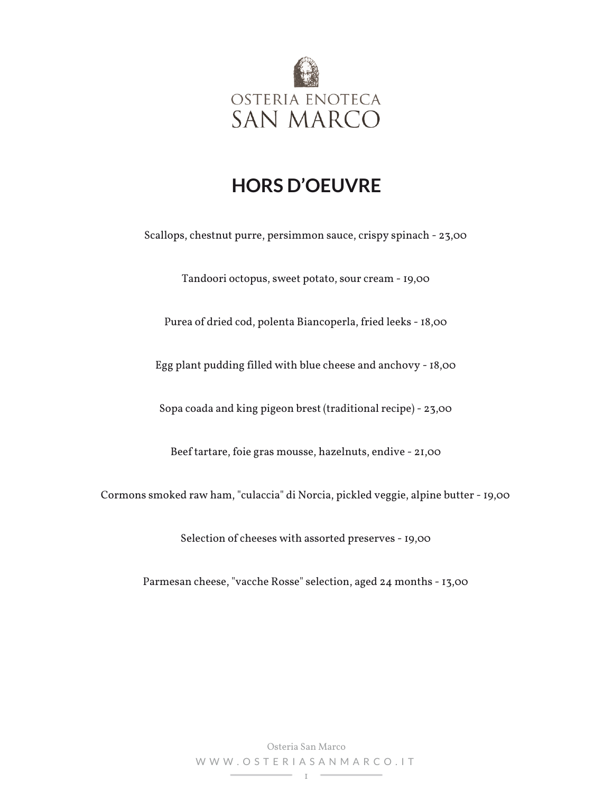

#### **HORS D'OEUVRE**

Scallops, chestnut purre, persimmon sauce, crispy spinach - 23,00

Tandoori octopus, sweet potato, sour cream - 19,00

Purea of dried cod, polenta Biancoperla, fried leeks - 18,00

Egg plant pudding filled with blue cheese and anchovy - 18,00

Sopa coada and king pigeon brest (traditional recipe) - 23,00

Beef tartare, foie gras mousse, hazelnuts, endive - 21,00

Cormons smoked raw ham, "culaccia" di Norcia, pickled veggie, alpine butter - 19,00

Selection of cheeses with assorted preserves - 19,00

Parmesan cheese, "vacche Rosse" selection, aged 24 months - 13,00

Osteria San Marco WWW.OSTERIASANMARCO.IT 1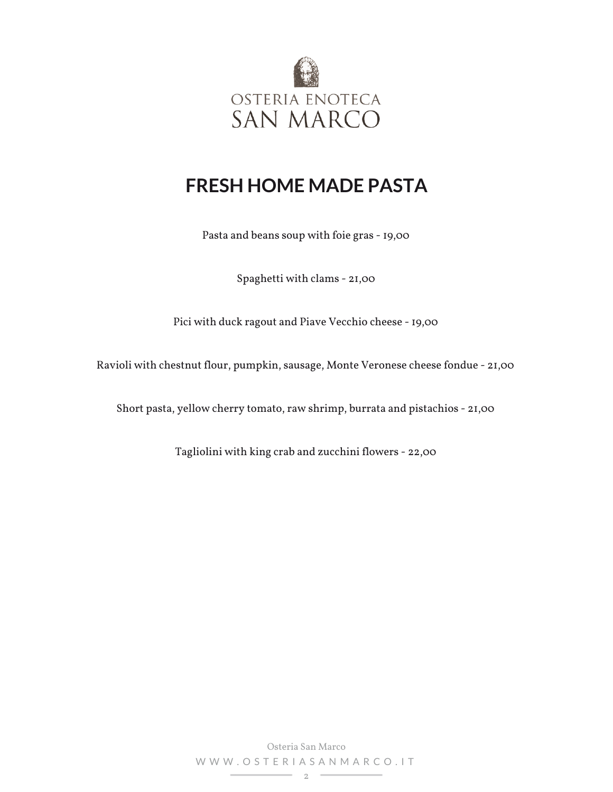

## **FRESH HOME MADE PASTA**

Pasta and beans soup with foie gras - 19,00

Spaghetti with clams - 21,00

Pici with duck ragout and Piave Vecchio cheese - 19,00

Ravioli with chestnut flour, pumpkin, sausage, Monte Veronese cheese fondue - 21,00

Short pasta, yellow cherry tomato, raw shrimp, burrata and pistachios - 21,00

Tagliolini with king crab and zucchini flowers - 22,00

Osteria San Marco WWW.OSTERIASANMARCO.IT  $\overline{\phantom{a}}$  2  $\overline{\phantom{a}}$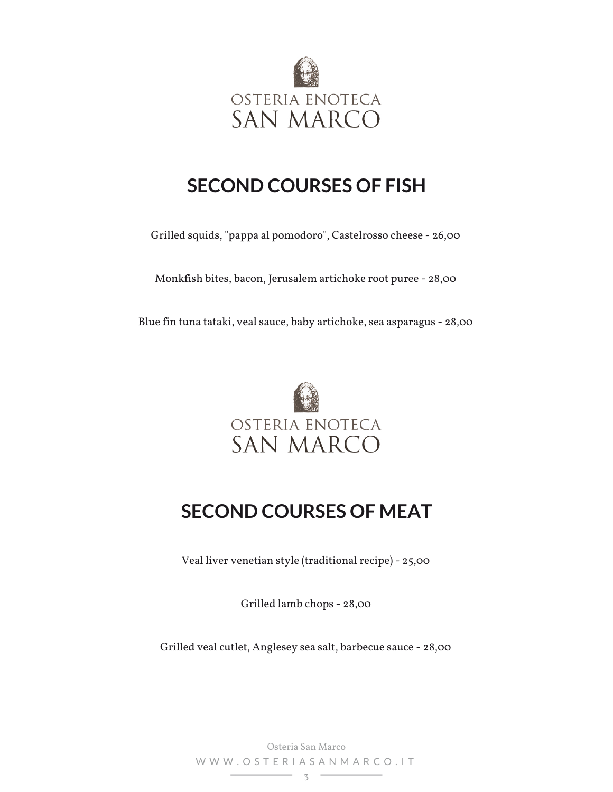

## **SECOND COURSES OF FISH**

Grilled squids, "pappa al pomodoro", Castelrosso cheese - 26,00

Monkfish bites, bacon, Jerusalem artichoke root puree - 28,00

Blue fin tuna tataki, veal sauce, baby artichoke, sea asparagus - 28,00



# **SECOND COURSES OF MEAT**

Veal liver venetian style (traditional recipe) - 25,00

Grilled lamb chops - 28,00

Grilled veal cutlet, Anglesey sea salt, barbecue sauce - 28,00

Osteria San Marco WWW.OSTERIASANMARCO.IT